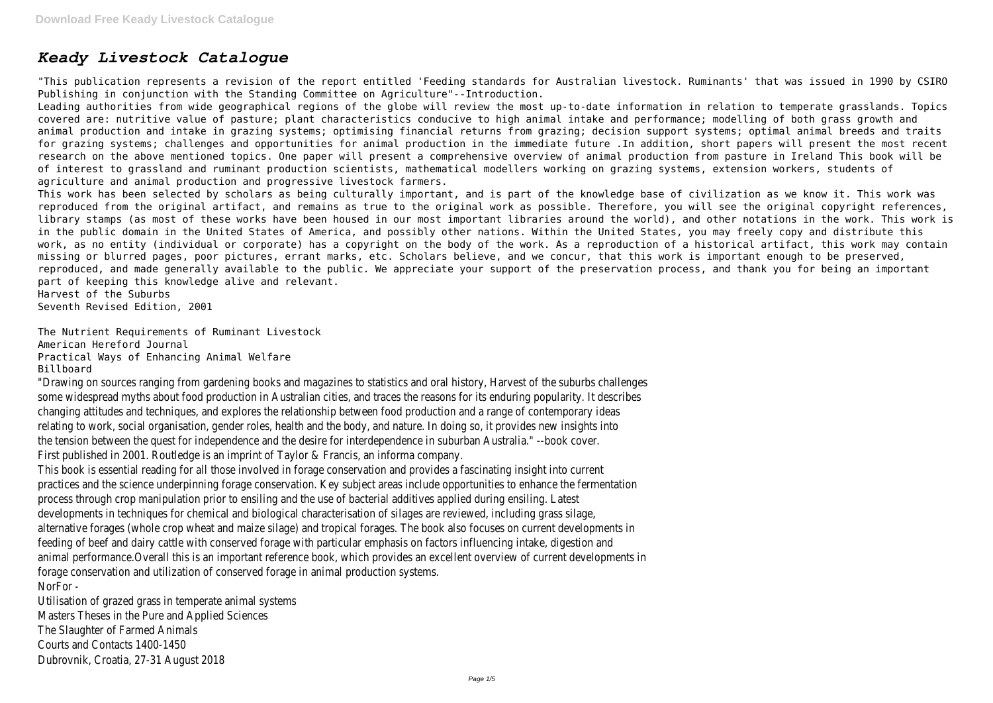# *Keady Livestock Catalogue*

"This publication represents a revision of the report entitled 'Feeding standards for Australian livestock. Ruminants' that was issued in 1990 by CSIRO Publishing in conjunction with the Standing Committee on Agriculture"--Introduction.

Leading authorities from wide geographical regions of the globe will review the most up-to-date information in relation to temperate grasslands. Topics covered are: nutritive value of pasture; plant characteristics conducive to high animal intake and performance; modelling of both grass growth and animal production and intake in grazing systems; optimising financial returns from grazing; decision support systems; optimal animal breeds and traits for grazing systems; challenges and opportunities for animal production in the immediate future .In addition, short papers will present the most recent research on the above mentioned topics. One paper will present a comprehensive overview of animal production from pasture in Ireland This book will be of interest to grassland and ruminant production scientists, mathematical modellers working on grazing systems, extension workers, students of agriculture and animal production and progressive livestock farmers.

This work has been selected by scholars as being culturally important, and is part of the knowledge base of civilization as we know it. This work was reproduced from the original artifact, and remains as true to the original work as possible. Therefore, you will see the original copyright references, library stamps (as most of these works have been housed in our most important libraries around the world), and other notations in the work. This work is in the public domain in the United States of America, and possibly other nations. Within the United States, you may freely copy and distribute this work, as no entity (individual or corporate) has a copyright on the body of the work. As a reproduction of a historical artifact, this work may contain missing or blurred pages, poor pictures, errant marks, etc. Scholars believe, and we concur, that this work is important enough to be preserved, reproduced, and made generally available to the public. We appreciate your support of the preservation process, and thank you for being an important part of keeping this knowledge alive and relevant.

Harvest of the Suburbs

Seventh Revised Edition, 2001

The Nutrient Requirements of Ruminant Livestock American Hereford Journal Practical Ways of Enhancing Animal Welfare Billboard

"Drawing on sources ranging from gardening books and magazines to statistics and oral history, Harvest of the suburbs challenges some widespread myths about food production in Australian cities, and traces the reasons for its enduring popularity. It describes changing attitudes and techniques, and explores the relationship between food production and a range of contemporary ideas relating to work, social organisation, gender roles, health and the body, and nature. In doing so, it provides new insights into the tension between the quest for independence and the desire for interdependence in suburban Australia." --book cover. First published in 2001. Routledge is an imprint of Taylor & Francis, an informa company.

This book is essential reading for all those involved in forage conservation and provides a fascinating insight into current practices and the science underpinning forage conservation. Key subject areas include opportunities to enhance the fermentation process through crop manipulation prior to ensiling and the use of bacterial additives applied during ensiling. Latest developments in techniques for chemical and biological characterisation of silages are reviewed, including grass silage, alternative forages (whole crop wheat and maize silage) and tropical forages. The book also focuses on current developments in feeding of beef and dairy cattle with conserved forage with particular emphasis on factors influencing intake, digestion and animal performance.Overall this is an important reference book, which provides an excellent overview of current developments in forage conservation and utilization of conserved forage in animal production systems. NorFor -

Utilisation of grazed grass in temperate animal systems Masters Theses in the Pure and Applied Sciences The Slaughter of Farmed Animals Courts and Contacts 1400-1450 Dubrovnik, Croatia, 27-31 August 2018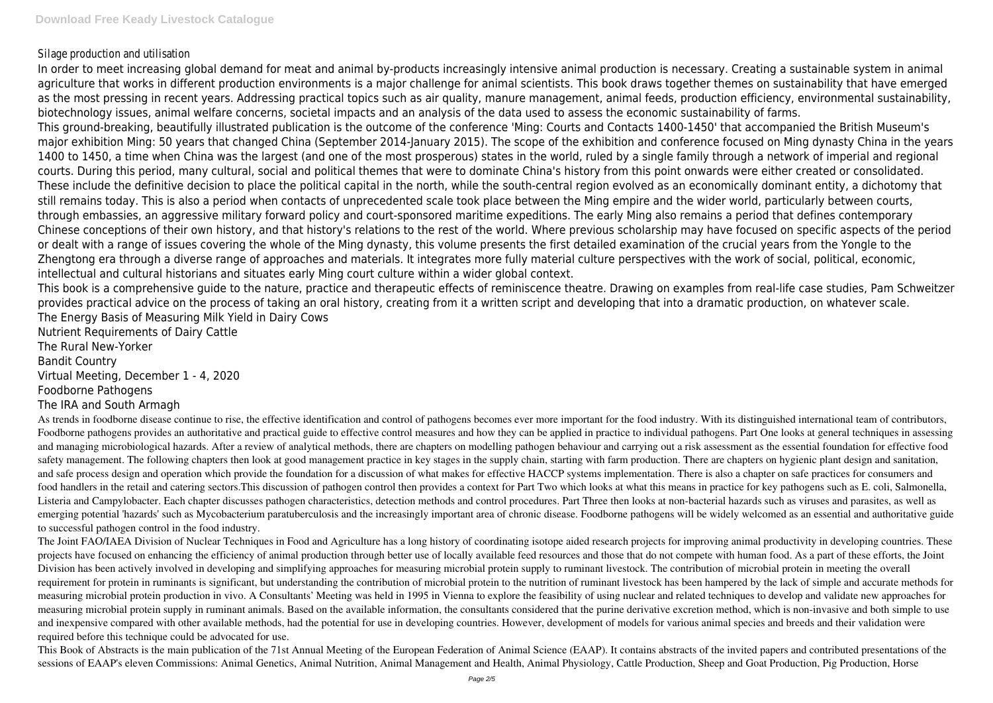## Silage production and utilisation

In order to meet increasing global demand for meat and animal by-products increasingly intensive animal production is necessary. Creating a sustainable system in animal agriculture that works in different production environments is a major challenge for animal scientists. This book draws together themes on sustainability that have emerged as the most pressing in recent years. Addressing practical topics such as air quality, manure management, animal feeds, production efficiency, environmental sustainability, biotechnology issues, animal welfare concerns, societal impacts and an analysis of the data used to assess the economic sustainability of farms. This ground-breaking, beautifully illustrated publication is the outcome of the conference 'Ming: Courts and Contacts 1400-1450' that accompanied the British Museum's major exhibition Ming: 50 years that changed China (September 2014-January 2015). The scope of the exhibition and conference focused on Ming dynasty China in the years 1400 to 1450, a time when China was the largest (and one of the most prosperous) states in the world, ruled by a single family through a network of imperial and regional courts. During this period, many cultural, social and political themes that were to dominate China's history from this point onwards were either created or consolidated. These include the definitive decision to place the political capital in the north, while the south-central region evolved as an economically dominant entity, a dichotomy that still remains today. This is also a period when contacts of unprecedented scale took place between the Ming empire and the wider world, particularly between courts, through embassies, an aggressive military forward policy and court-sponsored maritime expeditions. The early Ming also remains a period that defines contemporary Chinese conceptions of their own history, and that history's relations to the rest of the world. Where previous scholarship may have focused on specific aspects of the period or dealt with a range of issues covering the whole of the Ming dynasty, this volume presents the first detailed examination of the crucial years from the Yongle to the Zhengtong era through a diverse range of approaches and materials. It integrates more fully material culture perspectives with the work of social, political, economic, intellectual and cultural historians and situates early Ming court culture within a wider global context.

This book is a comprehensive guide to the nature, practice and therapeutic effects of reminiscence theatre. Drawing on examples from real-life case studies, Pam Schweitzer provides practical advice on the process of taking an oral history, creating from it a written script and developing that into a dramatic production, on whatever scale. The Energy Basis of Measuring Milk Yield in Dairy Cows

Nutrient Requirements of Dairy Cattle The Rural New-Yorker Bandit Country Virtual Meeting, December 1 - 4, 2020 Foodborne Pathogens The IRA and South Armagh

The Joint FAO/IAEA Division of Nuclear Techniques in Food and Agriculture has a long history of coordinating isotope aided research projects for improving animal productivity in developing countries. These projects have focused on enhancing the efficiency of animal production through better use of locally available feed resources and those that do not compete with human food. As a part of these efforts, the Joint Division has been actively involved in developing and simplifying approaches for measuring microbial protein supply to ruminant livestock. The contribution of microbial protein in meeting the overall requirement for protein in ruminants is significant, but understanding the contribution of microbial protein to the nutrition of ruminant livestock has been hampered by the lack of simple and accurate methods for measuring microbial protein production in vivo. A Consultants' Meeting was held in 1995 in Vienna to explore the feasibility of using nuclear and related techniques to develop and validate new approaches for measuring microbial protein supply in ruminant animals. Based on the available information, the consultants considered that the purine derivative excretion method, which is non-invasive and both simple to use and inexpensive compared with other available methods, had the potential for use in developing countries. However, development of models for various animal species and breeds and their validation were required before this technique could be advocated for use.

This Book of Abstracts is the main publication of the 71st Annual Meeting of the European Federation of Animal Science (EAAP). It contains abstracts of the invited papers and contributed presentations of the sessions of EAAP's eleven Commissions: Animal Genetics, Animal Nutrition, Animal Management and Health, Animal Physiology, Cattle Production, Sheep and Goat Production, Pig Production, Horse

As trends in foodborne disease continue to rise, the effective identification and control of pathogens becomes ever more important for the food industry. With its distinguished international team of contributors, Foodborne pathogens provides an authoritative and practical guide to effective control measures and how they can be applied in practice to individual pathogens. Part One looks at general techniques in assessing and managing microbiological hazards. After a review of analytical methods, there are chapters on modelling pathogen behaviour and carrying out a risk assessment as the essential foundation for effective food safety management. The following chapters then look at good management practice in key stages in the supply chain, starting with farm production. There are chapters on hygienic plant design and sanitation, and safe process design and operation which provide the foundation for a discussion of what makes for effective HACCP systems implementation. There is also a chapter on safe practices for consumers and food handlers in the retail and catering sectors.This discussion of pathogen control then provides a context for Part Two which looks at what this means in practice for key pathogens such as E. coli, Salmonella, Listeria and Campylobacter. Each chapter discusses pathogen characteristics, detection methods and control procedures. Part Three then looks at non-bacterial hazards such as viruses and parasites, as well as emerging potential 'hazards' such as Mycobacterium paratuberculosis and the increasingly important area of chronic disease. Foodborne pathogens will be widely welcomed as an essential and authoritative guide to successful pathogen control in the food industry.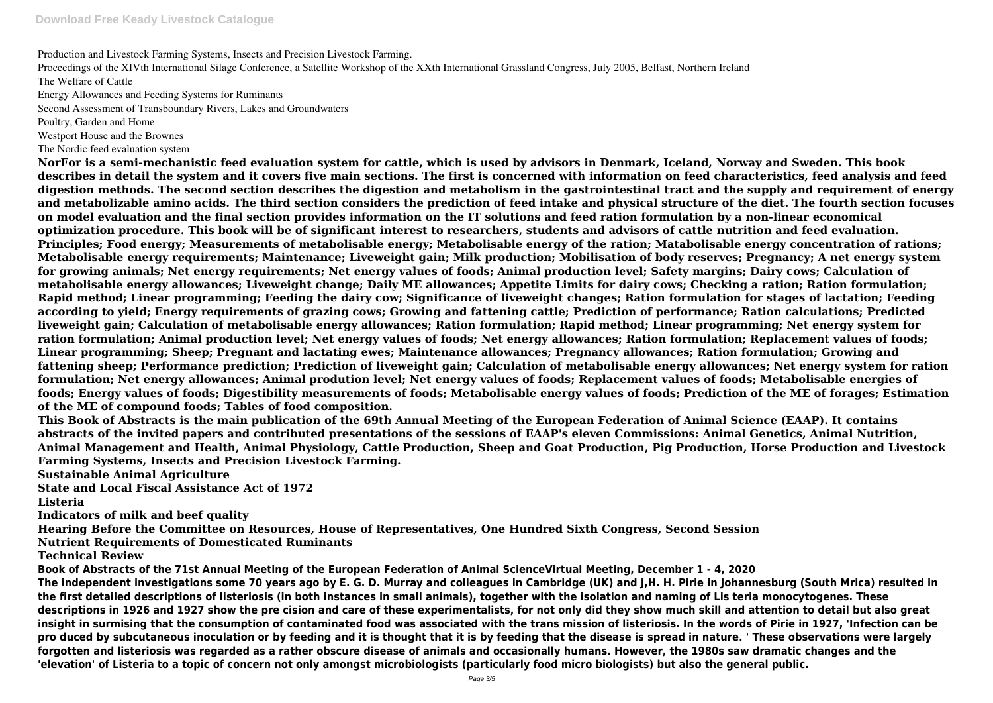Production and Livestock Farming Systems, Insects and Precision Livestock Farming.

Proceedings of the XIVth International Silage Conference, a Satellite Workshop of the XXth International Grassland Congress, July 2005, Belfast, Northern Ireland The Welfare of Cattle

Energy Allowances and Feeding Systems for Ruminants

Second Assessment of Transboundary Rivers, Lakes and Groundwaters

Poultry, Garden and Home

Westport House and the Brownes

The Nordic feed evaluation system

**NorFor is a semi-mechanistic feed evaluation system for cattle, which is used by advisors in Denmark, Iceland, Norway and Sweden. This book describes in detail the system and it covers five main sections. The first is concerned with information on feed characteristics, feed analysis and feed digestion methods. The second section describes the digestion and metabolism in the gastrointestinal tract and the supply and requirement of energy and metabolizable amino acids. The third section considers the prediction of feed intake and physical structure of the diet. The fourth section focuses on model evaluation and the final section provides information on the IT solutions and feed ration formulation by a non-linear economical optimization procedure. This book will be of significant interest to researchers, students and advisors of cattle nutrition and feed evaluation. Principles; Food energy; Measurements of metabolisable energy; Metabolisable energy of the ration; Matabolisable energy concentration of rations; Metabolisable energy requirements; Maintenance; Liveweight gain; Milk production; Mobilisation of body reserves; Pregnancy; A net energy system for growing animals; Net energy requirements; Net energy values of foods; Animal production level; Safety margins; Dairy cows; Calculation of metabolisable energy allowances; Liveweight change; Daily ME allowances; Appetite Limits for dairy cows; Checking a ration; Ration formulation; Rapid method; Linear programming; Feeding the dairy cow; Significance of liveweight changes; Ration formulation for stages of lactation; Feeding according to yield; Energy requirements of grazing cows; Growing and fattening cattle; Prediction of performance; Ration calculations; Predicted liveweight gain; Calculation of metabolisable energy allowances; Ration formulation; Rapid method; Linear programming; Net energy system for ration formulation; Animal production level; Net energy values of foods; Net energy allowances; Ration formulation; Replacement values of foods; Linear programming; Sheep; Pregnant and lactating ewes; Maintenance allowances; Pregnancy allowances; Ration formulation; Growing and fattening sheep; Performance prediction; Prediction of liveweight gain; Calculation of metabolisable energy allowances; Net energy system for ration formulation; Net energy allowances; Animal prodution level; Net energy values of foods; Replacement values of foods; Metabolisable energies of foods; Energy values of foods; Digestibility measurements of foods; Metabolisable energy values of foods; Prediction of the ME of forages; Estimation of the ME of compound foods; Tables of food composition.**

**This Book of Abstracts is the main publication of the 69th Annual Meeting of the European Federation of Animal Science (EAAP). It contains abstracts of the invited papers and contributed presentations of the sessions of EAAP's eleven Commissions: Animal Genetics, Animal Nutrition, Animal Management and Health, Animal Physiology, Cattle Production, Sheep and Goat Production, Pig Production, Horse Production and Livestock Farming Systems, Insects and Precision Livestock Farming.**

**Sustainable Animal Agriculture**

**State and Local Fiscal Assistance Act of 1972**

**Listeria**

**Indicators of milk and beef quality**

**Hearing Before the Committee on Resources, House of Representatives, One Hundred Sixth Congress, Second Session Nutrient Requirements of Domesticated Ruminants**

**Technical Review**

**Book of Abstracts of the 71st Annual Meeting of the European Federation of Animal ScienceVirtual Meeting, December 1 - 4, 2020 The independent investigations some 70 years ago by E. G. D. Murray and colleagues in Cambridge (UK) and J,H. H. Pirie in Johannesburg (South Mrica) resulted in the first detailed descriptions of listeriosis (in both instances in small animals), together with the isolation and naming of Lis teria monocytogenes. These descriptions in 1926 and 1927 show the pre cision and care of these experimentalists, for not only did they show much skill and attention to detail but also great insight in surmising that the consumption of contaminated food was associated with the trans mission of listeriosis. In the words of Pirie in 1927, 'Infection can be pro duced by subcutaneous inoculation or by feeding and it is thought that it is by feeding that the disease is spread in nature. ' These observations were largely forgotten and listeriosis was regarded as a rather obscure disease of animals and occasionally humans. However, the 1980s saw dramatic changes and the 'elevation' of Listeria to a topic of concern not only amongst microbiologists (particularly food micro biologists) but also the general public.**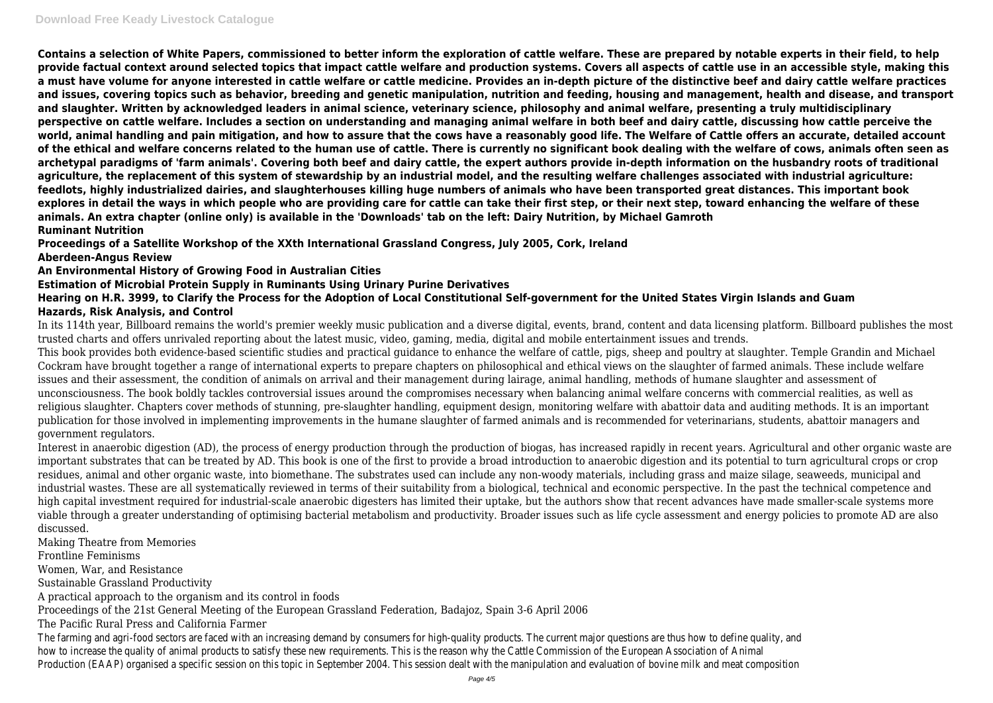**Contains a selection of White Papers, commissioned to better inform the exploration of cattle welfare. These are prepared by notable experts in their field, to help provide factual context around selected topics that impact cattle welfare and production systems. Covers all aspects of cattle use in an accessible style, making this a must have volume for anyone interested in cattle welfare or cattle medicine. Provides an in-depth picture of the distinctive beef and dairy cattle welfare practices and issues, covering topics such as behavior, breeding and genetic manipulation, nutrition and feeding, housing and management, health and disease, and transport and slaughter. Written by acknowledged leaders in animal science, veterinary science, philosophy and animal welfare, presenting a truly multidisciplinary perspective on cattle welfare. Includes a section on understanding and managing animal welfare in both beef and dairy cattle, discussing how cattle perceive the world, animal handling and pain mitigation, and how to assure that the cows have a reasonably good life. The Welfare of Cattle offers an accurate, detailed account of the ethical and welfare concerns related to the human use of cattle. There is currently no significant book dealing with the welfare of cows, animals often seen as archetypal paradigms of 'farm animals'. Covering both beef and dairy cattle, the expert authors provide in-depth information on the husbandry roots of traditional agriculture, the replacement of this system of stewardship by an industrial model, and the resulting welfare challenges associated with industrial agriculture: feedlots, highly industrialized dairies, and slaughterhouses killing huge numbers of animals who have been transported great distances. This important book explores in detail the ways in which people who are providing care for cattle can take their first step, or their next step, toward enhancing the welfare of these animals. An extra chapter (online only) is available in the 'Downloads' tab on the left: Dairy Nutrition, by Michael Gamroth Ruminant Nutrition**

**Proceedings of a Satellite Workshop of the XXth International Grassland Congress, July 2005, Cork, Ireland Aberdeen-Angus Review**

**An Environmental History of Growing Food in Australian Cities**

**Estimation of Microbial Protein Supply in Ruminants Using Urinary Purine Derivatives**

### **Hearing on H.R. 3999, to Clarify the Process for the Adoption of Local Constitutional Self-government for the United States Virgin Islands and Guam Hazards, Risk Analysis, and Control**

In its 114th year, Billboard remains the world's premier weekly music publication and a diverse digital, events, brand, content and data licensing platform. Billboard publishes the most trusted charts and offers unrivaled reporting about the latest music, video, gaming, media, digital and mobile entertainment issues and trends. This book provides both evidence-based scientific studies and practical guidance to enhance the welfare of cattle, pigs, sheep and poultry at slaughter. Temple Grandin and Michael Cockram have brought together a range of international experts to prepare chapters on philosophical and ethical views on the slaughter of farmed animals. These include welfare issues and their assessment, the condition of animals on arrival and their management during lairage, animal handling, methods of humane slaughter and assessment of unconsciousness. The book boldly tackles controversial issues around the compromises necessary when balancing animal welfare concerns with commercial realities, as well as religious slaughter. Chapters cover methods of stunning, pre-slaughter handling, equipment design, monitoring welfare with abattoir data and auditing methods. It is an important publication for those involved in implementing improvements in the humane slaughter of farmed animals and is recommended for veterinarians, students, abattoir managers and government regulators.

Interest in anaerobic digestion (AD), the process of energy production through the production of biogas, has increased rapidly in recent years. Agricultural and other organic waste are important substrates that can be treated by AD. This book is one of the first to provide a broad introduction to anaerobic digestion and its potential to turn agricultural crops or crop residues, animal and other organic waste, into biomethane. The substrates used can include any non-woody materials, including grass and maize silage, seaweeds, municipal and industrial wastes. These are all systematically reviewed in terms of their suitability from a biological, technical and economic perspective. In the past the technical competence and high capital investment required for industrial-scale anaerobic digesters has limited their uptake, but the authors show that recent advances have made smaller-scale systems more viable through a greater understanding of optimising bacterial metabolism and productivity. Broader issues such as life cycle assessment and energy policies to promote AD are also discussed.

Making Theatre from Memories

Frontline Feminisms

Women, War, and Resistance

Sustainable Grassland Productivity

A practical approach to the organism and its control in foods

Proceedings of the 21st General Meeting of the European Grassland Federation, Badajoz, Spain 3-6 April 2006

The Pacific Rural Press and California Farmer

The farming and agri-food sectors are faced with an increasing demand by consumers for high-quality products. The current major questions are thus how to define quality, and the street of thus how to define quality, and th how to increase the quality of animal products to satisfy these new requirements. This is the reason why the Cattle Commission of the European Association of Anima Production (EAAP) organised a specific session on this topic in September 2004. This session dealt with the manipulation and evaluation of bovine milk and meat comp